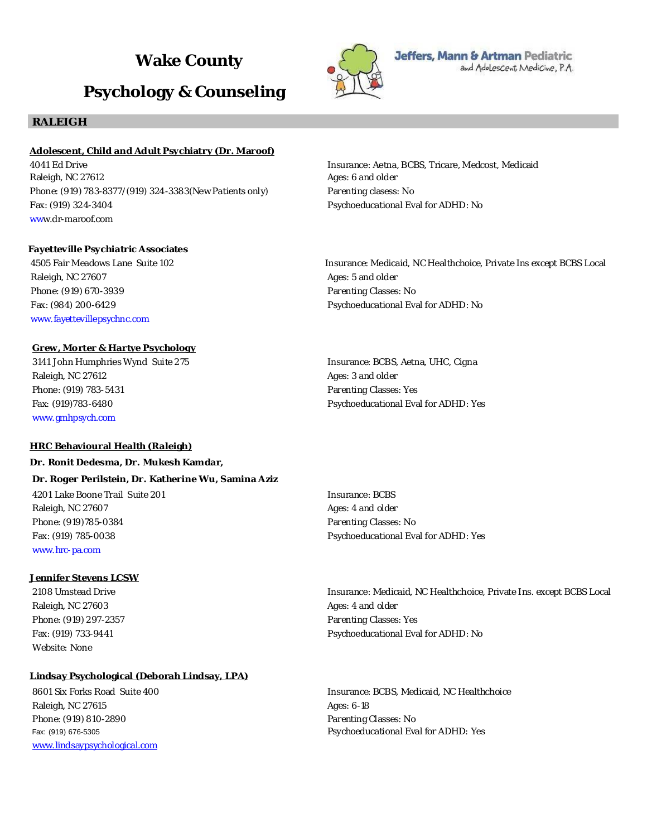# **Wake County**

# **Psychology & Counseling**

# **RALEIGH**

#### **Adolescent, Child and Adult Psychiatry (Dr. Maroof)**

4041 Ed Drive Insurance: Aetna, BCBS, Tricare, Medcost, Medicaid Raleigh, NC 27612 **Ages: 6 and older** Ages: 6 and older Phone: (919) 783-8377/(919) 324-3383(New Patients only) Parenting clasess: No Fax: (919) 324-3404 Psychoeducational Eval for ADHD: No www.dr-maroof.com

**Fayetteville Psychiatric Associates** 4505 Fair Meadows Lane Suite 102 Insurance: Medicaid, NC Healthchoice, Private Ins except BCBS Local Raleigh, NC 27607 **Ages: 5 and older** Ages: 5 and older Phone: (919) 670-3939 Parenting Classes: No Fax: (984) 200-6429 **Pax: (984) 200-6429** Psychoeducational Eval for ADHD: No www.fayettevillepsychnc.com

# **Grew, Morter & Hartye Psychology**

3141 John Humphries Wynd Suite 275 Insurance: BCBS, Aetna, UHC, Cigna Raleigh, NC 27612 **Ages: 3 and older** Ages: 3 and older Phone: (919) 783-5431 Parenting Classes: Yes www.gmhpsych.com

#### **HRC Behavioural Health (Raleigh)**

**Dr. Ronit Dedesma, Dr. Mukesh Kamdar, Dr. Roger Perilstein, Dr. Katherine Wu, Samina Aziz** 4201 Lake Boone Trail Suite 201 Insurance: BCBS Raleigh, NC 27607 **Ages: 4 and older** Ages: 4 and older Phone: (919)785-0384 Parenting Classes: No Fax: (919) 785-0038 Psychoeducational Eval for ADHD: Yes www.hrc-pa.com

# **Jennifer Stevens LCSW**

Raleigh, NC 27603 **Ages: 4 and older** Raleigh, NC 27603 Phone: (919) 297-2357 Parenting Classes: Yes Website: None

#### **Lindsay Psychological (Deborah Lindsay, LPA)**

Raleigh, NC 27615 **Ages: 6-18** Phone: (919) 810-2890 **Parenting Classes: No** www.lindsaypsychological.com

Fax: (919)783-6480 Psychoeducational Eval for ADHD: Yes

2108 Umstead Drive **Insurance: Medicaid, NC Healthchoice, Private Ins. except BCBS Local** Fax: (919) 733-9441 Psychoeducational Eval for ADHD: No

8601 Six Forks Road Suite 400 **Insurance: BCBS, Medicaid, NC Healthchoice** 8601 Six Forks Road Suite 400 Fax: (919) 676-5305 Psychoeducational Eval for ADHD: Yes



Jeffers, Mann & Artman Pediatric and Adolescent Medicine, P.A.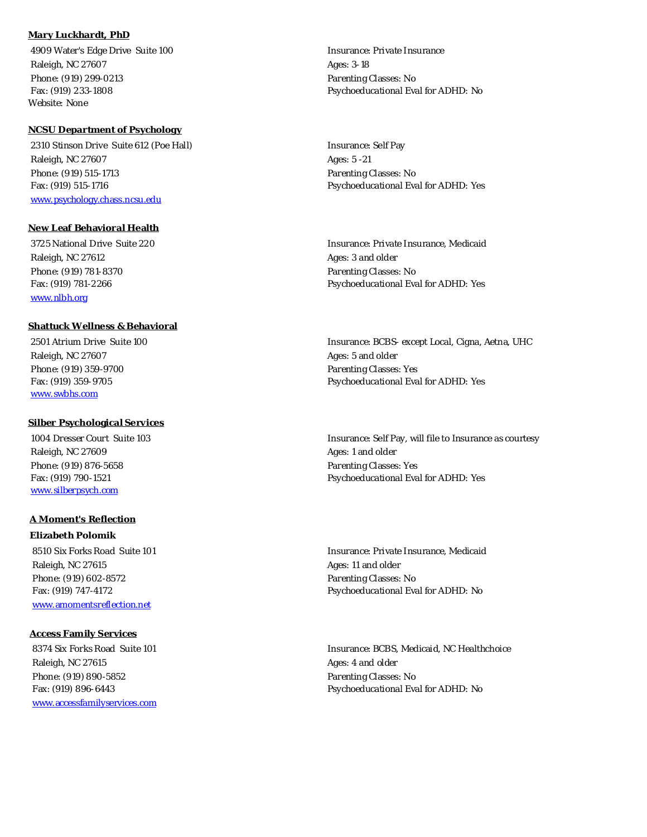# **Mary Luckhardt, PhD**

 4909 Water's Edge Drive Suite 100 Insurance: Private Insurance Raleigh, NC 27607 **Ages: 3-18** Phone: (919) 299-0213 **Parenting Classes: No** Website: None

#### **NCSU Department of Psychology**

2310 Stinson Drive Suite 612 (Poe Hall) Insurance: Self Pay Raleigh, NC 27607 **Ages: 5 -21** Phone: (919) 515-1713 Parenting Classes: No Fax: (919) 515-1716 Psychoeducational Eval for ADHD: Yes www.psychology.chass.ncsu.edu

## **New Leaf Behavioral Health**

Raleigh, NC 27612 **Ages: 3** and older Phone: (919) 781-8370 **Parenting Classes: No** www.nlbh.org

#### **Shattuck Wellness & Behavioral**

Raleigh, NC 27607 Ages: 5 and older Phone: (919) 359-9700 **Phone:** (919) 359-9700 www.swbhs.com

#### **Silber Psychological Services**

Raleigh, NC 27609 **Ages: 1** and older Phone: (919) 876-5658 Parenting Classes: Yes www.silberpsych.com

#### **A Moment's Reflection**

**Elizabeth Polomik** 8510 Six Forks Road Suite 101 **Insurance: Private Insurance, Medicaid** Insurance: Private Insurance, Medicaid Raleigh, NC 27615 **Ages: 11 and older** Ages: 11 and older Phone: (919) 602-8572 **Phone: (919)** 602-8572 www.amomentsreflection.net

#### **Access Family Services**

Raleigh, NC 27615 Ages: 4 and older Phone: (919) 890-5852 **Phone: (919) 890-5852 Parenting Classes: No** www.accessfamilyservices.com

Fax: (919) 233-1808 Psychoeducational Eval for ADHD: No

 3725 National Drive Suite 220 Insurance: Private Insurance, Medicaid Fax: (919) 781-2266 Psychoeducational Eval for ADHD: Yes

2501 Atrium Drive Suite 100 **Insurance: BCBS- except Local, Cigna, Aetna, UHC** Fax: (919) 359-9705 Psychoeducational Eval for ADHD: Yes

 1004 Dresser Court Suite 103 Insurance: Self Pay, will file to Insurance as courtesy Fax: (919) 790-1521 Psychoeducational Eval for ADHD: Yes

Fax: (919) 747-4172 Psychoeducational Eval for ADHD: No

8374 Six Forks Road Suite 101 **Insurance: BCBS, Medicaid, NC Healthchoice** 868 Alexander: BCBS, Medicaid, NC Healthchoice Fax: (919) 896-6443 **Parameters** Psychoeducational Eval for ADHD: No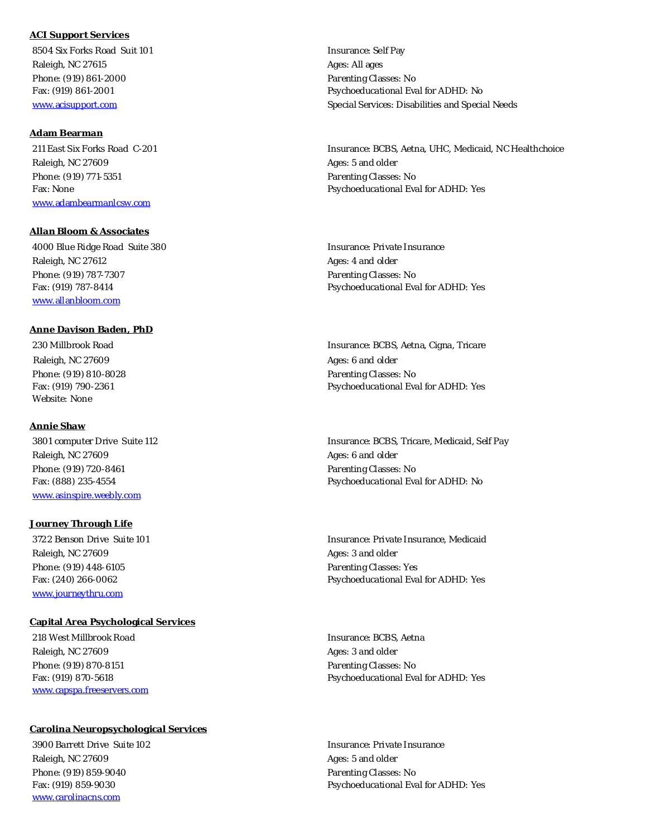#### **ACI Support Services**

8504 Six Forks Road Suit 101 **Insurance: Self Pay** Raleigh, NC 27615 Ages: All ages: All ages: All ages: All ages: All ages: All ages Phone: (919) 861-2000 **Parenting Classes: No. 2010** Parenting Classes: No.

#### **Adam Bearman**

Raleigh, NC 27609 **Ages: 5 and older** Raleigh, NC 27609 Phone: (919) 771-5351 Parenting Classes: No www.adambearmanlcsw.com

#### **Allan Bloom & Associates**

4000 Blue Ridge Road Suite 380 **Insurance: Private Insurance: Private Insurance** Raleigh, NC 27612 **Ages: 4 and older** Ages: 4 and older Phone: (919) 787-7307 Parenting Classes: No

www.allanbloom.com

# **Anne Davison Baden, PhD** Raleigh, NC 27609 **Ages: 6 and older** Raleigh, NC 27609 Phone: (919) 810-8028 **Parenting Classes: No** Website: None

#### **Annie Shaw**

Raleigh, NC 27609 **Ages: 6 and older** Raleigh, NC 27609 Phone: (919) 720-8461 **Phone: (919) 720-8461** Parenting Classes: No www.asinspire.weebly.com

#### **Journey Through Life**

Raleigh, NC 27609 **Ages: 3 and older** Ages: 3 and older Phone: (919) 448-6105 Parenting Classes: Yes www.journeythru.com

#### **Capital Area Psychological Services**

 218 West Millbrook Road Insurance: BCBS, Aetna Raleigh, NC 27609 **Ages: 3 and older** Raleigh, NC 27609 Phone: (919) 870-8151 **Phone: (919) 870-8151 Parenting Classes: No** www.capspa.freeservers.com

#### **Carolina Neuropsychological Services**

 3900 Barrett Drive Suite 102 Insurance: Private Insurance Raleigh, NC 27609 **Ages: 5** and older Phone: (919) 859-9040 **Parenting Classes: No** www.carolinacns.com

Fax: (919) 861-2001 Psychoeducational Eval for ADHD: No www.acisupport.com and Special Services: Disabilities and Special Needs

 211 East Six Forks Road C-201 Insurance: BCBS, Aetna, UHC, Medicaid, NC Healthchoice Fax: None **Psychoeducational Eval for ADHD:** Yes

Fax: (919) 787-8414 Psychoeducational Eval for ADHD: Yes

 230 Millbrook Road Insurance: BCBS, Aetna, Cigna, Tricare Fax: (919) 790-2361 Psychoeducational Eval for ADHD: Yes

 3801 computer Drive Suite 112 Insurance: BCBS, Tricare, Medicaid, Self Pay Fax: (888) 235-4554 **Psychoeducational Eval for ADHD:** No

 3722 Benson Drive Suite 101 Insurance: Private Insurance, Medicaid Fax: (240) 266-0062 Psychoeducational Eval for ADHD: Yes

Fax: (919) 870-5618 Psychoeducational Eval for ADHD: Yes

Fax: (919) 859-9030 Psychoeducational Eval for ADHD: Yes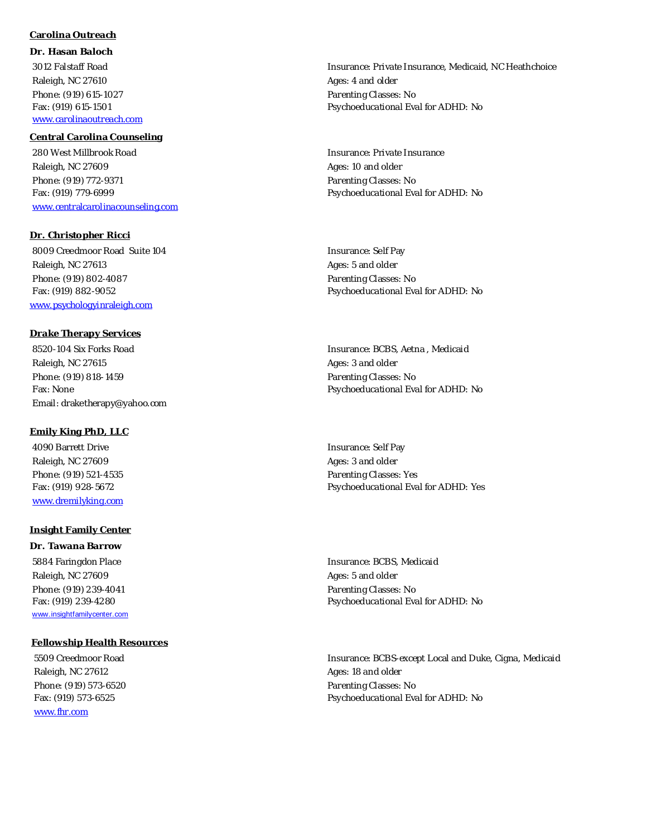# **Carolina Outreach**

**Dr. Hasan Baloch** Raleigh, NC 27610 **Ages: 4 and older** Ages: 4 and older Phone: (919) 615-1027 **Parenting Classes: No. 2018** Parenting Classes: No. www.carolinaoutreach.com

#### **Central Carolina Counseling**

 280 West Millbrook Road Insurance: Private Insurance Raleigh, NC 27609 **Ages: 10 and older** Ages: 10 and older Phone: (919) 772-9371 Phone: (919) 772-9371 www.centralcarolinacounseling.com

**Dr. Christopher Ricci** 8009 Creedmoor Road Suite 104 and Suite 104 and Suite 104 and Suite 104 and Suite 104 and Suite 104 and Suite 104 Raleigh, NC 27613 **Ages: 5** and older Phone: (919) 802-4087 Parenting Classes: No

www.psychologyinraleigh.com

**Drake Therapy Services** 8520-104 Six Forks Road Insurance: BCBS, Aetna , Medicaid Raleigh, NC 27615 **Ages: 3 and older** Ages: 3 and older Phone: (919) 818-1459 Phone: (919) 818-1459 Email: draketherapy@yahoo.com

# **Emily King PhD, LLC**

4090 Barrett Drive and the Insurance: Self Pay Raleigh, NC 27609 **Ages: 3 and older** Ages: 3 and older www.dremilyking.com

#### **Insight Family Center**

**Dr. Tawana Barrow** Raleigh, NC 27609 **Ages: 5 and older** Ages: 5 and older Phone: (919) 239-4041 **Parenting Classes: No** www.insightfamilycenter.com

#### **Fellowship Health Resources**

Raleigh, NC 27612 **Ages: 18 and older** Ages: 18 and older Phone: (919) 573-6520 Parenting Classes: No www.fhr.com

 3012 Falstaff Road Insurance: Private Insurance, Medicaid, NC Heathchoice Fax: (919) 615-1501 Psychoeducational Eval for ADHD: No

Fax: (919) 779-6999 Psychoeducational Eval for ADHD: No

Fax: (919) 882-9052 Psychoeducational Eval for ADHD: No

Fax: None **Psychoeducational Eval for ADHD:** No

Phone: (919) 521-4535 Parenting Classes: Yes Fax: (919) 928-5672 Psychoeducational Eval for ADHD: Yes

 5884 Faringdon Place Insurance: BCBS, Medicaid Fax: (919) 239-4280 **Psychoeducational Eval for ADHD:** No

 5509 Creedmoor Road Insurance: BCBS-except Local and Duke, Cigna, Medicaid Fax: (919) 573-6525 Psychoeducational Eval for ADHD: No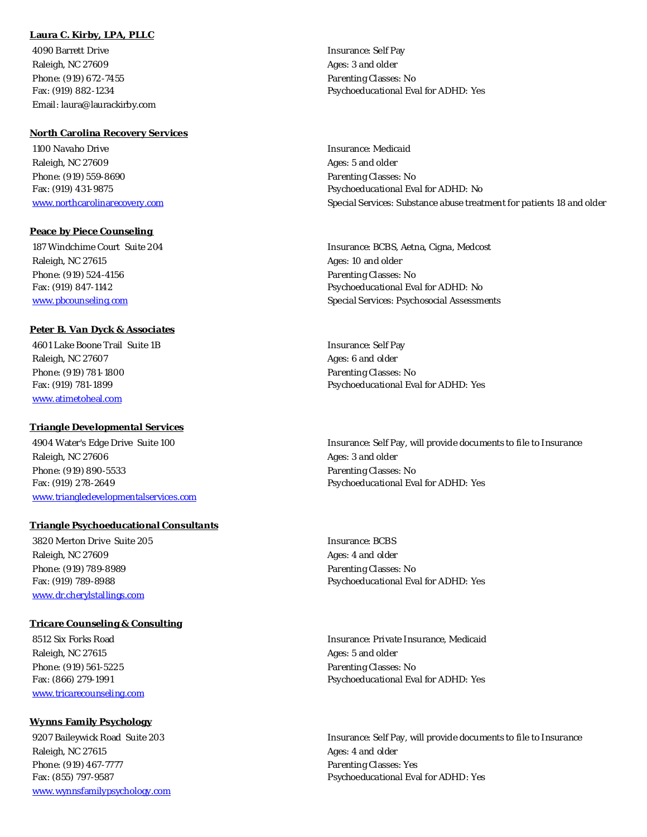# **Laura C. Kirby, LPA, PLLC**

Account of the Insurance: Self Pay and the Insurance: Self Pay Raleigh, NC 27609 **Ages: 3** and older Phone: (919) 672-7455 **Phone: (919) 672-7455 Parenting Classes: No** Email: laura@laurackirby.com

#### **North Carolina Recovery Services**

 1100 Navaho Drive Insurance: Medicaid Raleigh, NC 27609 **Ages: 5 and older** Raleigh, NC 27609 Phone: (919) 559-8690 Parenting Classes: No

**Peace by Piece Counseling** 

Raleigh, NC 27615 Ages: 10 and older Phone: (919) 524-4156 **Parenting Classes: No. 2018** Parenting Classes: No.

## **Peter B. Van Dyck & Associates**

Abook Lake Boone Trail Suite 1B Insurance: Self Pay Raleigh, NC 27607 **Ages: 6 and older** Raleigh, NC 27607 Phone: (919) 781-1800 **Parenting Classes: No** www.atimetoheal.com

#### **Triangle Developmental Services**

Raleigh, NC 27606 **Ages: 3 and older** Ages: 3 and older Phone: (919) 890-5533 Parenting Classes: No Fax: (919) 278-2649 Psychoeducational Eval for ADHD: Yes www.triangledevelopmentalservices.com

#### **Triangle Psychoeducational Consultants**

3820 Merton Drive Suite 205 **Insurance: BCBS** Insurance: BCBS Raleigh, NC 27609 **Ages: 4** and older Phone: (919) 789-8989 **Phone: (919) 789-8989 Parenting Classes: No** www.dr.cherylstallings.com

#### **Tricare Counseling & Consulting**

Raleigh, NC 27615 **Ages: 5** and older Phone: (919) 561-5225 Parenting Classes: No www.tricarecounseling.com

# **Wynns Family Psychology** Raleigh, NC 27615 **Ages: 4 and older** Ages: 4 and older Phone: (919) 467-7777 Phone: (919) 467-7777

www.wynnsfamilypsychology.com

Fax: (919) 882-1234 Psychoeducational Eval for ADHD: Yes

Fax: (919) 431-9875 Psychoeducational Eval for ADHD: No www.northcarolinarecovery.com Special Services: Substance abuse treatment for patients 18 and older

187 Windchime Court Suite 204 **Insurance: BCBS, Aetna, Cigna, Medcost** Insurance: BCBS, Aetna, Cigna, Medcost Fax: (919) 847-1142 Psychoeducational Eval for ADHD: No www.pbcounseling.com Special Services: Psychosocial Assessments

Fax: (919) 781-1899 Psychoeducational Eval for ADHD: Yes

4904 Water's Edge Drive Suite 100 Insurance: Self Pay, will provide documents to file to Insurance

Fax: (919) 789-8988 Psychoeducational Eval for ADHD: Yes

8512 Six Forks Road **Insurance: Private Insurance: Private Insurance**, Medicaid Fax: (866) 279-1991 Psychoeducational Eval for ADHD: Yes

 9207 Baileywick Road Suite 203 Insurance: Self Pay, will provide documents to file to Insurance Fax: (855) 797-9587 Psychoeducational Eval for ADHD: Yes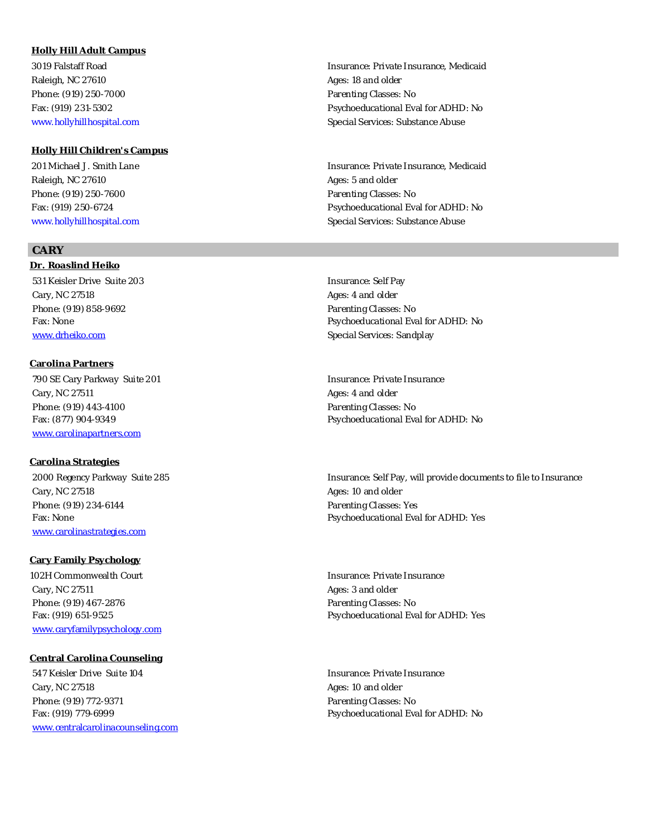# **Holly Hill Adult Campus** Raleigh, NC 27610 **Ages: 18 and older** Ages: 18 and older Phone: (919) 250-7000 Parenting Classes: No

**Holly Hill Children's Campus** 201 Michael J. Smith Lane Insurance: Private Insurance, Medicaid Raleigh, NC 27610 **Ages: 5** and older Phone: (919) 250-7600 **Parenting Classes: No** www.hollyhillhospital.com Special Services: Substance Abuse Special Services: Substance Abuse

# **CARY**

**Dr. Roaslind Heiko** 531 Keisler Drive Suite 203 Insurance: Self Pay Cary, NC 27518 Ages: 4 and older Phone: (919) 858-9692 Parenting Classes: No www.drheiko.com Special Services: Sandplay

#### **Carolina Partners**

 790 SE Cary Parkway Suite 201 Insurance: Private Insurance Cary, NC 27511 **Ages: 4 and older** Ages: 4 and older Phone: (919) 443-4100 **Parenting Classes: No** www.carolinapartners.com

#### **Carolina Strategies**

Cary, NC 27518 **Ages: 10 and older** Ages: 10 and older Phone: (919) 234-6144 **Phone: (919)** 234-6144 www.carolinastrategies.com

#### **Cary Family Psychology**

102H Commonwealth Court **Insurance: Private Insurance: Private Insurance** Cary, NC 27511 **Ages: 3 and older** Ages: 3 and older Phone: (919) 467-2876 **Phone: (919) 467-2876** Parenting Classes: No www.caryfamilypsychology.com

#### **Central Carolina Counseling**

547 Keisler Drive Suite 104 **Insurance: Private Insurance: Private Insurance:** Private Insurance Cary, NC 27518 **Cary, NC 27518 Ages: 10 and older** Phone: (919) 772-9371 **Parenting Classes: No** www.centralcarolinacounseling.com

3019 Falstaff Road Insurance: Private Insurance, Medicaid Fax: (919) 231-5302 Psychoeducational Eval for ADHD: No www.hollyhillhospital.com Special Services: Substance Abuse Special Services: Substance Abuse

Fax: (919) 250-6724 Psychoeducational Eval for ADHD: No

Fax: None **Psychoeducational Eval for ADHD:** No

Fax: (877) 904-9349 Psychoeducational Eval for ADHD: No

 2000 Regency Parkway Suite 285 Insurance: Self Pay, will provide documents to file to Insurance Fax: None **Proposeducational Eval for ADHD:** Yes

Fax: (919) 651-9525 Psychoeducational Eval for ADHD: Yes

Fax: (919) 779-6999 Psychoeducational Eval for ADHD: No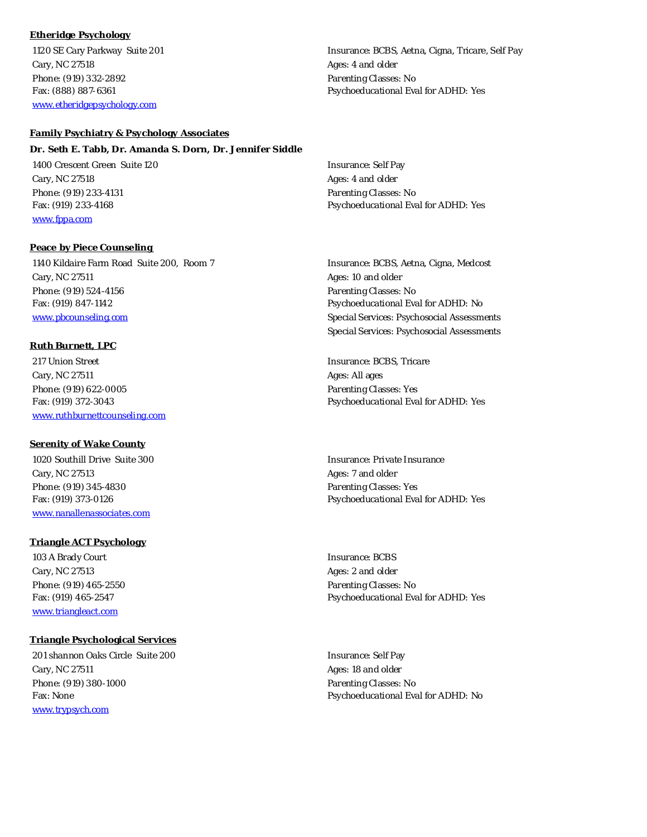# **Etheridge Psychology**

Cary, NC 27518 **Ages: 4 and older** Ages: 4 and older Phone: (919) 332-2892 **Parenting Classes: No** www.etheridgepsychology.com

#### **Family Psychiatry & Psychology Associates**

**Dr. Seth E. Tabb, Dr. Amanda S. Dorn, Dr. Jennifer Siddle** 1400 Crescent Green Suite 120 **Insurance: Self Pay** Cary, NC 27518 **Ages: 4 and older** Ages: 4 and older Phone: (919) 233-4131 **Parenting Classes: No** Fax: (919) 233-4168 Psychoeducational Eval for ADHD: Yes www.fppa.com

 1140 Kildaire Farm Road Suite 200, Room 7 Insurance: BCBS, Aetna, Cigna, Medcost Cary, NC 27511 **Ages: 10 and older Ages: 10 and older** Phone: (919) 524-4156 Parenting Classes: No Fax: (919) 847-1142 Psychoeducational Eval for ADHD: No www.pbcounseling.com Special Services: Psychosocial Assessments

#### **Ruth Burnett, LPC**

217 Union Street **Insurance: BCBS, Tricare** Cary, NC 27511 Ages: All ages: All ages: All ages: All ages: All ages: All ages: All ages: All ages: All ages Phone: (919) 622-0005 Phone: (919) 622-0005 www.ruthburnettcounseling.com

**Peace by Piece Counseling** 

#### **Serenity of Wake County**

1020 Southill Drive Suite 300 **Insurance: Private Insurance: Private Insurance:** Private Insurance Cary, NC 27513 **Ages: 7** and older Phone: (919) 345-4830 Phone: (919) 345-4830 www.nanallenassociates.com

#### **Triangle ACT Psychology**

103 A Brady Court **Insurance**: BCBS Cary, NC 27513 **Ages: 2 and older** Ages: 2 and older Phone: (919) 465-2550 Parenting Classes: No www.triangleact.com

#### **Triangle Psychological Services**

201 shannon Oaks Circle Suite 200 **Insurance: Self Pay** Insurance: Self Pay Cary, NC 27511 **Ages: 18 and older** Ages: 18 and older Phone: (919) 380-1000 Phone: (919) 380-1000 www.trypsych.com

Special Services: Psychosocial Assessments

Fax: (919) 372-3043 Psychoeducational Eval for ADHD: Yes

Fax: (919) 373-0126 Psychoeducational Eval for ADHD: Yes

Fax: (919) 465-2547 Psychoeducational Eval for ADHD: Yes

Fax: None **Psychoeducational Eval for ADHD:** No

1120 SE Cary Parkway Suite 201 and Suite 101 and Suite 100 service: BCBS, Aetna, Cigna, Tricare, Self Pay Fax: (888) 887-6361 Psychoeducational Eval for ADHD: Yes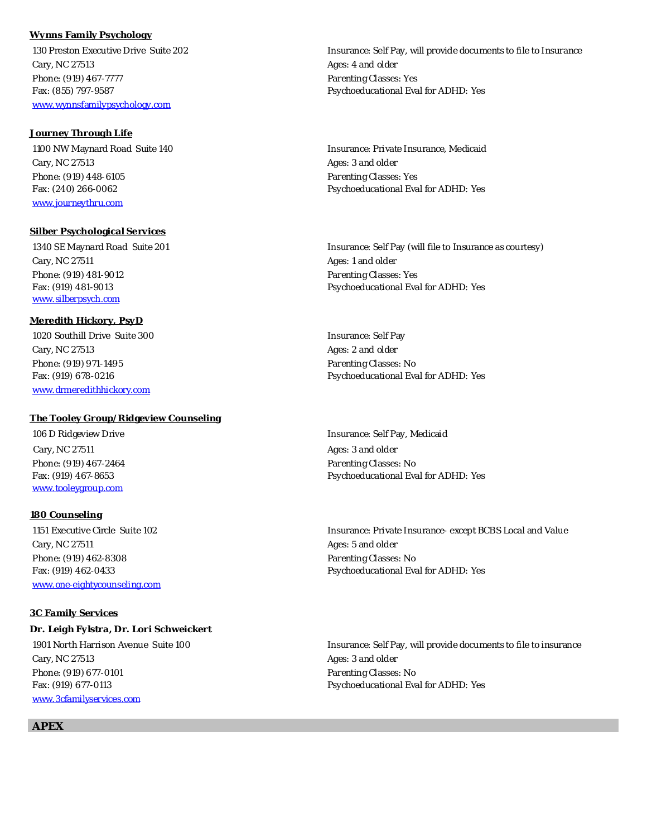#### **Wynns Family Psychology**

Cary, NC 27513 **Ages: 4 and older** Phone: (919) 467-7777 Phone: (919) 467-7777 www.wynnsfamilypsychology.com

#### **Journey Through Life**

Cary, NC 27513 Ages: 3 and older Phone: (919) 448-6105 Parenting Classes: Yes www.journeythru.com

#### **Silber Psychological Services**

Cary, NC 27511 **Ages: 1 and older** Phone: (919) 481-9012 **Parenting Classes: Yes** Parenting Classes: Yes www.silberpsych.com

#### **Meredith Hickory, PsyD**

1020 Southill Drive Suite 300 **Insurance: Self Pay** Cary, NC 27513 **Ages: 2 and older** Ages: 2 and older Phone: (919) 971-1495 **Parenting Classes: No** www.drmeredithhickory.com

#### **The Tooley Group/Ridgeview Counseling**

Cary, NC 27511 **Ages: 3** and older Phone: (919) 467-2464 **Parenting Classes: No** www.tooleygroup.com

#### **180 Counseling**

Cary, NC 27511 Ages: 5 and older Phone: (919) 462-8308 Phone: (919) 462-8308 www.one-eightycounseling.com

#### **3C Family Services**

**Dr. Leigh Fylstra, Dr. Lori Schweickert** Cary, NC 27513 **Ages: 3 and older** Ages: 3 and older Phone: (919) 677-0101 **Parenting Classes: No** Fax: (919) 677-0113 Psychoeducational Eval for ADHD: Yes www.3cfamilyservices.com

130 Preston Executive Drive Suite 202 **Insurance: Self Pay, will provide documents to file to Insurance** Fax: (855) 797-9587 Psychoeducational Eval for ADHD: Yes

1100 NW Maynard Road Suite 140 **Insurance: Private Insurance, Medicaid** Insurance: Private Insurance, Medicaid Fax: (240) 266-0062 Psychoeducational Eval for ADHD: Yes

1340 SE Maynard Road Suite 201 **Insurance: Self Pay (will file to Insurance as courtesy)** Fax: (919) 481-9013 Psychoeducational Eval for ADHD: Yes

Fax: (919) 678-0216 Psychoeducational Eval for ADHD: Yes

 106 D Ridgeview Drive Insurance: Self Pay, Medicaid Fax: (919) 467-8653 Psychoeducational Eval for ADHD: Yes

 1151 Executive Circle Suite 102 Insurance: Private Insurance- except BCBS Local and Value Fax: (919) 462-0433 **Psychoeducational Eval for ADHD:** Yes

1901 North Harrison Avenue Suite 100 **Insurance:** Self Pay, will provide documents to file to insurance

**APEX**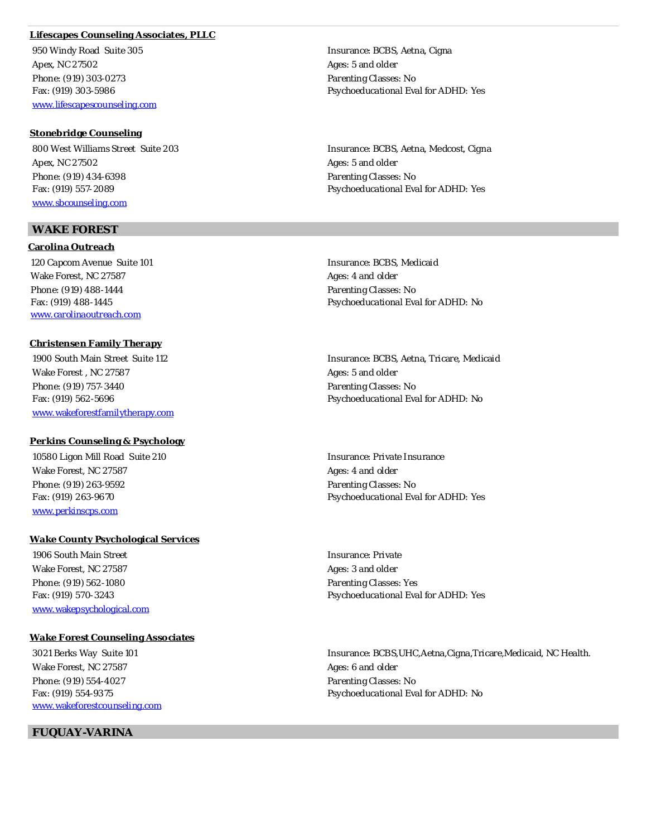# **Lifescapes Counseling Associates, PLLC**

950 Windy Road Suite 305 **Insurance: BCBS, Aetna, Cigna** Apex, NC 27502 Ages: 5 and older Phone: (919) 303-0273 **Parenting Classes: No** www.lifescapescounseling.com

**Stonebridge Counseling** Apex, NC 27502 Ages: 5 and older Phone: (919) 434-6398 **Parenting Classes: No** www.sbcounseling.com

# **WAKE FOREST**

**Carolina Outreach** 120 Capcom Avenue Suite 101 **Insurance: BCBS, Medicaid Insurance: BCBS**, Medicaid Wake Forest, NC 27587 Ages: 4 and older Phone: (919) 488-1444 **Parenting Classes: No** www.carolinaoutreach.com

#### **Christensen Family Therapy**

Wake Forest, NC 27587 Ages: 5 and older Phone: (919) 757-3440 **Phone:** (919) 757-3440 www.wakeforestfamilytherapy.com

#### **Perkins Counseling & Psychology**

10580 Ligon Mill Road Suite 210 **Insurance: Private Insurance: Private Insurance**: Private Insurance Wake Forest, NC 27587 Ages: 4 and older Phone: (919) 263-9592 **Parenting Classes: No** www.perkinscps.com

#### **Wake County Psychological Services**

1906 South Main Street **Insurance: Private** Wake Forest, NC 27587 Ages: 3 and older Phone: (919) 562-1080 **Parenting Classes: Yes** Parenting Classes: Yes www.wakepsychological.com

#### **Wake Forest Counseling Associates**

Wake Forest, NC 27587 Ages: 6 and older Phone: (919) 554-4027 **Phone: (919) 554-4027** Parenting Classes: No www.wakeforestcounseling.com

 **FUQUAY-VARINA**

Fax: (919) 303-5986 Psychoeducational Eval for ADHD: Yes

800 West Williams Street Suite 203 **Insurance: BCBS, Aetna, Medcost, Cigna** Fax: (919) 557-2089 Psychoeducational Eval for ADHD: Yes

Fax: (919) 488-1445 **Parts 1988-1445** Psychoeducational Eval for ADHD: No

 1900 South Main Street Suite 112 Insurance: BCBS, Aetna, Tricare, Medicaid Fax: (919) 562-5696 Psychoeducational Eval for ADHD: No

Fax: (919) 263-9670 Psychoeducational Eval for ADHD: Yes

Fax: (919) 570-3243 Psychoeducational Eval for ADHD: Yes

 3021 Berks Way Suite 101 Insurance: BCBS,UHC,Aetna,Cigna,Tricare,Medicaid, NC Health. Fax: (919) 554-9375 **Parts 120 Fax: (919) 554-9375** Psychoeducational Eval for ADHD: No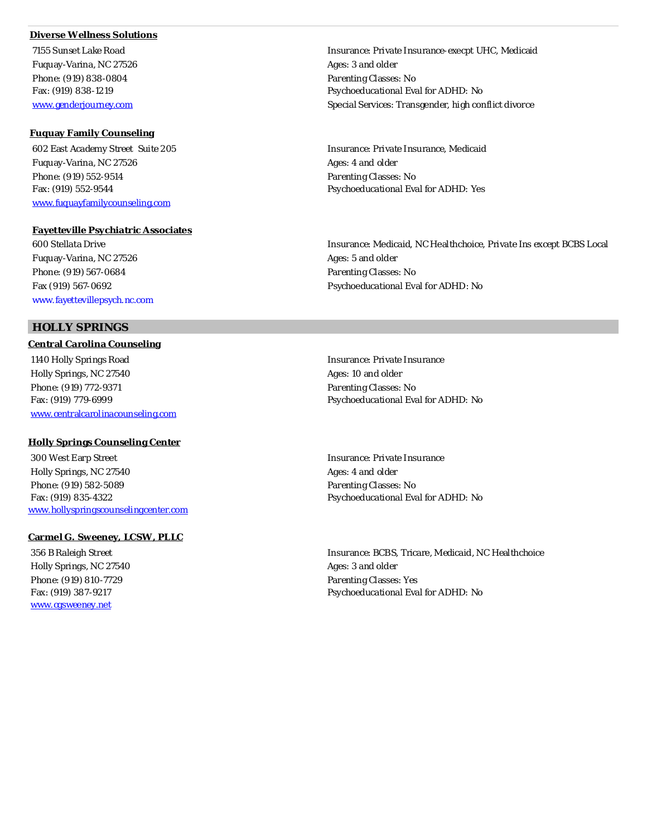# **Diverse Wellness Solutions**

Fuquay-Varina, NC 27526 Ages: 3 and older Phone: (919) 838-0804 **Parenting Classes: No** 

#### **Fuquay Family Counseling**

Fuquay-Varina, NC 27526 Ages: 4 and older Phone: (919) 552-9514 Phone: (919) 552-9514 www.fuquayfamilycounseling.com

**Fayetteville Psychiatric Associates** Fuguay-Varina, NC 27526 **Ages: 5 and older** Ages: 5 and older Phone: (919) 567-0684 Parenting Classes: No Fax (919) 567-0692 Psychoeducational Eval for ADHD: No www.fayettevillepsych.nc.com

# **HOLLY SPRINGS**

**Central Carolina Counseling** 1140 Holly Springs Road **Insurance: Private Insurance: Private Insurance:** Private Insurance Holly Springs, NC 27540 **Ages: 10 and older** Ages: 10 and older Phone: (919) 772-9371 **Parenting Classes: No** www.centralcarolinacounseling.com

#### **Holly Springs Counseling Center**

300 West Earp Street **Insurance: Private Insurance:** Private Insurance: Holly Springs, NC 27540 **Ages: 4 and older** Ages: 4 and older Phone: (919) 582-5089 **Parenting Classes: No** Fax: (919) 835-4322 Psychoeducational Eval for ADHD: No www.hollyspringscounselingcenter.com

## **Carmel G. Sweeney, LCSW, PLLC**

Holly Springs, NC 27540 **Ages: 3 and older** Ages: 3 and older Phone: (919) 810-7729 Parenting Classes: Yes www.cgsweeney.net

 7155 Sunset Lake Road Insurance: Private Insurance-execpt UHC, Medicaid Fax: (919) 838-1219 **Participal Fact 12 Control For ADHD: No Psychoeducational Eval for ADHD: No** www.genderjourney.com Special Services: Transgender, high conflict divorce

 602 East Academy Street Suite 205 Insurance: Private Insurance, Medicaid Fax: (919) 552-9544 Psychoeducational Eval for ADHD: Yes

600 Stellata Drive Insurance: Medicaid, NC Healthchoice, Private Ins except BCBS Local

Fax: (919) 779-6999 **Psychoeducational Eval for ADHD:** No

 356 B Raleigh Street Insurance: BCBS, Tricare, Medicaid, NC Healthchoice Fax: (919) 387-9217 **Participal Fact 1** Psychoeducational Eval for ADHD: No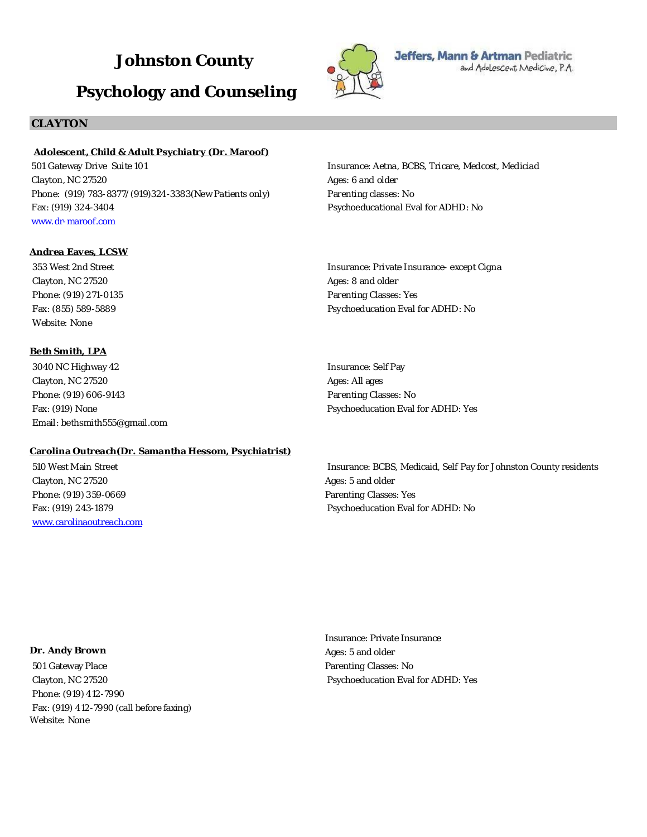# **Johnston County Psychology and Counseling**



Ages: 8 and older Parenting Classes: Yes

Jeffers, Mann & Artman Pediatric and Adolescent Medicine, P.A.

# **CLAYTON**

# **Adolescent, Child & Adult Psychiatry (Dr. Maroof)**

501 Gateway Drive Suite 101 Clayton, NC 27520 Phone: (919) 783-8377/(919)324-3383(New Patients only) Fax: (919) 324-3404 www.dr-maroof.com

# Insurance: Aetna, BCBS, Tricare, Medcost, Mediciad Ages: 6 and older Parenting classes: No Psychoeducational Eval for ADHD: No

Insurance: Private Insurance- except Cigna

Psychoeducation Eval for ADHD: No

**Andrea Eaves, LCSW**

353 West 2nd Street Clayton, NC 27520 Phone: (919) 271-0135 Fax: (855) 589-5889 Website: None

#### **Beth Smith, LPA**

3040 NC Highway 42 Clayton, NC 27520 Phone: (919) 606-9143 Fax: (919) None Email: bethsmith555@gmail.com

#### **Carolina Outreach(Dr. Samantha Hessom, Psychiatrist)**

 510 West Main Street Clayton, NC 27520 Phone: (919) 359-0669 Fax: (919) 243-1879 www.carolinaoutreach.com Insurance: Self Pay Ages: All ages Parenting Classes: No Psychoeducation Eval for ADHD: Yes

Insurance: BCBS, Medicaid, Self Pay for Johnston County residents Ages: 5 and older Parenting Classes: Yes Psychoeducation Eval for ADHD: No

**Dr. Andy Brown** 501 Gateway Place Clayton, NC 27520 Phone: (919) 412-7990 Fax: (919) 412-7990 (call before faxing) Website: None

Insurance: Private Insurance Ages: 5 and older Parenting Classes: No Psychoeducation Eval for ADHD: Yes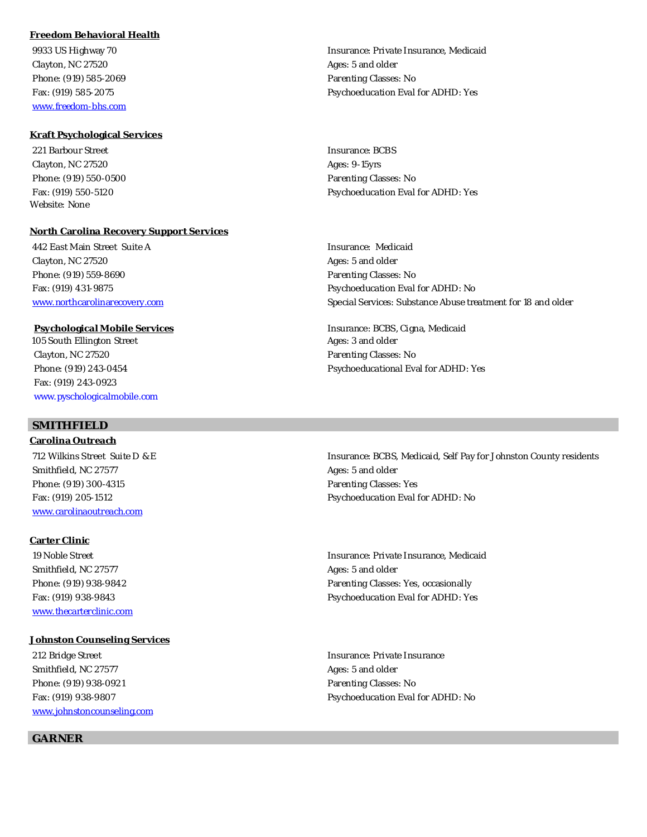# **Freedom Behavioral Health**

Clayton, NC 27520 **Ages: 5** and older Phone: (919) 585-2069 **Parenting Classes: No. 2018** Parenting Classes: No. www.freedom-bhs.com

#### **Kraft Psychological Services**

221 Barbour Street **Insurance: BCBS** Insurance: BCBS Clayton, NC 27520 **Ages: 9-15yrs** Ages: 9-15yrs Phone: (919) 550-0500 Parenting Classes: No Website: None

#### **North Carolina Recovery Support Services**

 442 East Main Street Suite A Insurance: Medicaid Clayton, NC 27520 **Ages: 5 and older** Phone: (919) 559-8690 **Parenting Classes: No** 

105 South Ellington Street Ages: 3 and older Clayton, NC 27520 Parenting Classes: No Fax: (919) 243-0923 www.pyschologicalmobile.com

# **SMITHFIELD**

**Carolina Outreach** Smithfield, NC 27577 Ages: 5 and older Phone: (919) 300-4315 **Parenting Classes: Yes** www.carolinaoutreach.com

**Carter Clinic** Smithfield, NC 27577 Ages: 5 and older www.thecarterclinic.com

#### **Johnston Counseling Services**

212 Bridge Street **Insurance: Private Insurance:** Private Insurance: Private Insurance: Smithfield, NC 27577 Ages: 5 and older Phone: (919) 938-0921 Phone: (919) 938-0921 www.johnstoncounseling.com

# **GARNER**

9933 US Highway 70 **Insurance: Private Insurance: Private Insurance**, Medicaid Fax: (919) 585-2075 Psychoeducation Eval for ADHD: Yes

Fax: (919) 550-5120 Psychoeducation Eval for ADHD: Yes

Fax: (919) 431-9875 Psychoeducation Eval for ADHD: No www.northcarolinarecovery.com Special Services: Substance Abuse treatment for 18 and older

**Psychological Mobile Services Insurance: BCBS, Cigna, Medicaid** Phone: (919) 243-0454 Psychoeducational Eval for ADHD: Yes

 712 Wilkins Street Suite D & E Insurance: BCBS, Medicaid, Self Pay for Johnston County residents Fax: (919) 205-1512 Psychoeducation Eval for ADHD: No

 19 Noble Street Insurance: Private Insurance, Medicaid Phone: (919) 938-9842 Phone: (919) 938-9842 Fax: (919) 938-9843 Psychoeducation Eval for ADHD: Yes

Fax: (919) 938-9807 Psychoeducation Eval for ADHD: No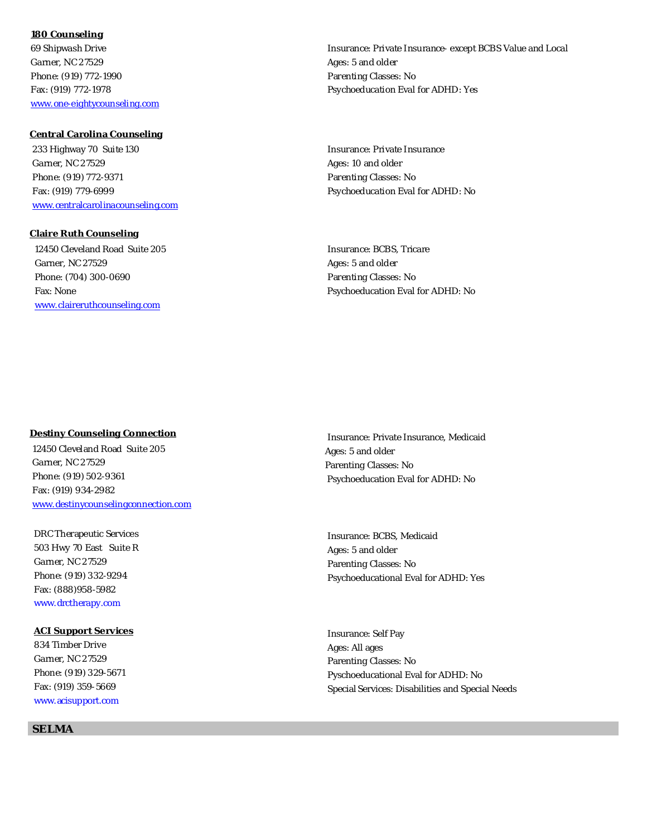**180 Counseling** 69 Shipwash Drive Garner, NC 27529 Phone: (919) 772-1990 Fax: (919) 772-1978 www.one-eightycounseling.com

**Central Carolina Counseling**

 233 Highway 70 Suite 130 Garner, NC 27529 Phone: (919) 772-9371 Fax: (919) 779-6999 www.centralcarolinacounseling.com

**Claire Ruth Counseling** 12450 Cleveland Road Suite 205 Garner, NC 27529 Phone: (704) 300-0690 Fax: None www.claireruthcounseling.com

**Destiny Counseling Connection** 12450 Cleveland Road Suite 205 Garner, NC 27529 Phone: (919) 502-9361 Fax: (919) 934-2982 www.destinycounselingconnection.com

 DRC Therapeutic Services 503 Hwy 70 East Suite R Garner, NC 27529 Phone: (919) 332-9294 Fax: (888)958-5982 www.drctherapy.com

**ACI Support Services** 834 Timber Drive Garner, NC 27529 Phone: (919) 329-5671 Fax: (919) 359-5669 www.acisupport.com

**SELMA**

Insurance: Private Insurance- except BCBS Value and Local Ages: 5 and older Parenting Classes: No Psychoeducation Eval for ADHD: Yes

Insurance: Private Insurance Ages: 10 and older Parenting Classes: No Psychoeducation Eval for ADHD: No

Insurance: BCBS, Tricare Ages: 5 and older Parenting Classes: No Psychoeducation Eval for ADHD: No

Insurance: Private Insurance, Medicaid Ages: 5 and older Parenting Classes: No Psychoeducation Eval for ADHD: No

Insurance: BCBS, Medicaid Ages: 5 and older Parenting Classes: No Psychoeducational Eval for ADHD: Yes

Insurance: Self Pay Ages: All ages Parenting Classes: No Pyschoeducational Eval for ADHD: No Special Services: Disabilities and Special Needs